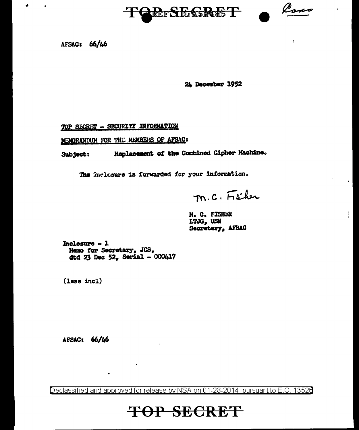

Cons

 $\ddot{\phantom{a}}$ 

 $\mathbb{Z}^2$ 

AFSAC: 66/46

٠

24 December 1952

TOP SECRET - SECURITY INFORMATION

MEMORANDUM FOR THE MEMBERS OF AFSAC:

Replacement of the Combined Cipher Machine. Subject:

The inclosure is forwarded for your information.

M.C. Fisher

M. C. FISHER LTJG, USN Secretary, AFSAC

Inclosure  $-1$ Memo for Secretary, JCS, dtd 23 Dec  $52$ , Serial - 000417

 $\bullet$ 

(less incl)

AFSAC: 66/46

Declassified and approved for release by NSA on 01-28-2014 pursuant to E.O. 13526

# **TOP SECRET**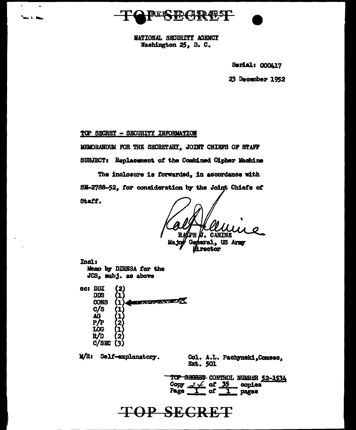

NATIONAL SECURITY AGENCY Washington 25, D. C.

Serial: 000417

23 December 1952

TOP SECRET - SECURITY INFORMATION

**Sand R. Box** 

MEMORANDUM FOR THE SECRETARY, JOINT CHIEFS OF STAFF

SUBJECT: Replacement of the Combined Cipher Machine

The inclosure is forwarded, in accordance with SM-2788-52, for consideration by the Joint Chiefs of Staff.

**CANTNE** 

General, US Army **inector** 

**Incl:** Memo by DIRNSA for the JCS, subj. as above

cc: DDI **DDS CANON CONTROL CONS**  $\bf{1}$  $c/s$ AG P/F ממד R/D  $C/SBC$  (3)

M/R: Self-explanatory.

Col. A.L. Pachynski, Comsec. **Ext. 501** 

TOP SECRET CONTROL NUMBER 52-1534 Copy  $2 \neq 0$  of  $35$ <br>Page  $1$  of  $1$ <u>.</u> copies радев

## **TOP SECRET**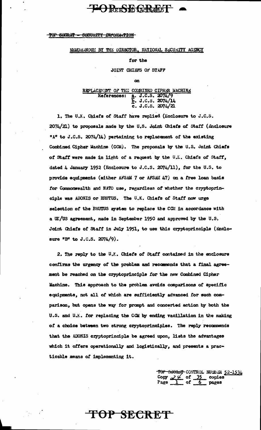### **LORESE GRAET**

#### <del>-TOP SECRET -</del> SECURITY INFORMATION

### MEMORANDUM BY THE DIRECTOR, NATIONAL SECURITY AGENCY

### for the

JOINT CHIEFS OF STAFF

**on** 

### REPLACEMENT OF THE COMBINED CIPHER MACHINE a. J.C.S. 2074/9<br>b. J.C.S. 2074/14<br>c. J.C.S. 2074/21 References:

1. The U.K. Chiefs of Staff have replied (Enclosure to J.C.S.  $2074/21$ ) to proposals made by the U.S. Joint Chiefs of Staff (Enclosure "A" to J.C.S. 2074/14) pertaining to replacement of the existing Combined Cipher Machine (CCM). The proposals by the U.S. Joint Chiefs of Staff were made in light of a request by the U.K. Chiefs of Staff, dated 4 January 1952 (Enclosure to J.C.S. 2074/11), for the U.S. to provide equipments (either AFSAM 7 or AFSAM 47) on a free loan basis for Commonwealth and NATO use, regardless of whether the cryptoprinciple was ADONIS or BRUTUS. The U.K. Chiefs of Staff now urge selection of the BRUTUS system to replace the CCM in accordance with a UK/US agreement, made in September 1950 and approved by the U.S. Joint Chiefs of Staff in July 1951, to use this cryptoprinciple (Enclosure "B" to J.C.S. 2074/9).

2. The reply to the U.Y. Chiefs of Staff contained in the enclosure confirms the urgency of the problem and recommends that a final agreement be reached on the cryptoprinciple for the new Combined Cipher Machine. This approach to the problem avoids comparisons of specific equipments, not all of which are sufficiently advanced for such comparison, but opens the way for prompt and concerted action by both the U.S. and U.K. for replacing the CGM by ending vacillation in the making of a choice between two strong cryptoprinciples. The reply recommends that the ADONIS cryptoprinciple be agreed upon, lists the advantages which it offers operationally and logistically, and presents a practicable means of implementing it.

TOP SECRET

TOP SECRET CONTROL NULBER 52-1534 Copy  $2 \frac{y}{1}$  of  $\frac{35}{6}$  copies<br>Page  $\frac{1}{1}$  of  $\frac{35}{6}$  pages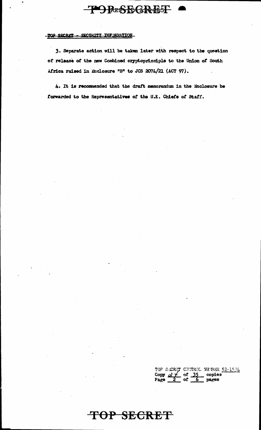## **ORESBGREST**

### TOP SECRET - SECURITY INFORMATION

3. Separate action will be taken later with respect to the question of release of the new Combined cryptoprinciple to the Union of South Africa raised in Enclosure "B" to JCS  $2074/21$  (ACT 97).

4. It is recommended that the draft memorandum in the Enclosure be forwarded to the Representatives *ot* t\_he U.K. Chieta *ot* statf.

**TOP SECRET** 

TOP SECRET CONTROL NUMBER 52-1534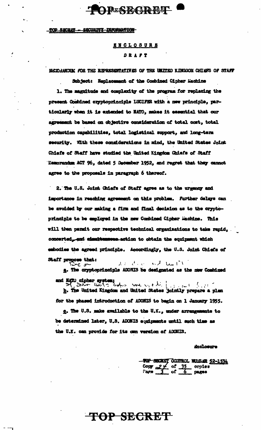## **PESBGRET**

#### TOP SECRET - SECURITY INFORMATION

### **ENCLOSURE** DRAFT

MCDANDIK FOR THE REPRESENTATIVES OF THE UNITED KINGDOM CHILFS OF STAFF

Subject: Replacement of the Combined Cipher Machine 1. The magnitude and complexity of the program for replacing the present Combined cryptoprinciple LUCIFER with a new principle, particularly when it is extended to NATO, makes it essential that our agreement be based on objective consideration of total cost, total production capabilities, total logistical support, and long-term security. With these considerations in mind, the United States Joint Chiefs of Staff have studied the United Kingdom Chiefs of Staff Hemorandum ACT 96, dated 5 December 1952, and regret that they cannot agree to the proposals in paragraph 6 thereof.

2. The U.S. Joint Chiefs of Staff agree as to the urgency and importance in reaching agreement on this problem. Further delays can be avoided by our making a firm and final decision as to the cryptoprinciple to be employed in the new Combined Cipher Machine. This will then permit our respective technical organisations to take rapid, concerted\_-and cimultensesse action to obtain the equipment which embodies the agreed principle. Accordingly, the U.S. Joint Chiefs of Staff propose that:

able to the self-trail of ς σ

a. The cryptoprinciple ADONIS be designated as the new Combined

and MARU alphor ayetom;<br>>>>>>> Barr theory chartes we were the final for the b. The United Kingdom and United States jointly prepare a plan for the phased introduction of ADONIS to begin on 1 January 1955.

g. The U.S. make available to the U.K., under arrangements to be determined later, U.S. ADONIS equipments until such time as the U.K. can provide for its own version of ADORIS.

#### **Anclosure**

SECRET CONTROL NULLER 52-1534 of copies

TOP SECRET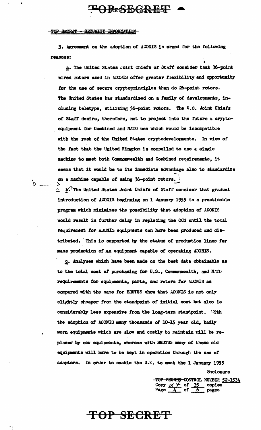### OPESEGREST

#### TOP SECRET - SECURITY INFORMATION

 $b.$ 

3. Agreement on the adoption of ADNIS is urged for the following reasons:

a. The United States Joint Chiefs of Staff consider that 36-point wired rotors used in ADONIS offer greater flexibility and opportunity for the use of secure cryptoprinciples than do 26-point rotors. The United States has standardized on a family of developments, including teletype, utilizing 36-point rotors. The U.S. Joint Chiefs of Staff desire, therefore, not to project into the future a cryptoequipment for Combined and NATO use which would be incompatible with the rest of the United States cryptodevelopments. In view of the fact that the United Kingdom is compelled to use a single machine to meet both Commonwealth and Combined requirements, it seems that it would be to its immediate advantage also to standardize on a machine capable of using 36-point rotors.

2 E. The United States Joint Chiefs of Staff consider that gradual introduction of AUCNIS beginning on 1 January 1955 is a practicable program which minimizes the possibility that adoption of ADONIS would result in further delay in replacing the CCM until the total requirement for ADONIS equipments can have been produced and distributed. This is supported by the status of production lines for mass production of an equipment capable of operating ADONIS.

c. Analyses which have been made on the best data obtainable as to the total cost of purchasing for U.S., Commonwealth, and NATO requirements for equipments, parts, and rotors for ADONIS as compared with the same for BRUTUS show that ADONIS is not only slightly cheaper from the standpoint of initial cost but also is considerably less expensive from the long-term standpoint. With the adoption of ADONIS many thousands of 10-15 year old, badly worn equipments which are slow and costly to maintain will be replaced by new equipments, whereas with BRUTUS many of these old equipments will have to be kept in operation through the use of adaptors. In order to enable the U.K. to meet the 1 January 1955 Enclosure

**TOP SECRET** 

TOP SEGRET CONTROL NURBER 52-1534<br>Copy  $\angle \neq$  of 35 copies<br>Page  $\frac{1}{4}$  of 6 pages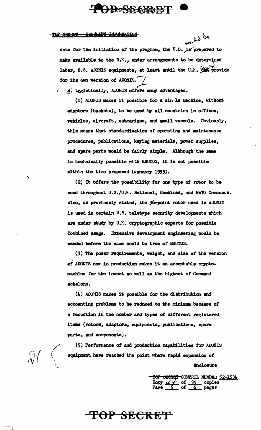# OPEREGRET

#### TOP SECRET **SECURITY INACKWATION**

would be

date for the initiation of the program, the U.S. is prepared to make available to the U.K., under arrangements to be determined later, U.S. ADONIS equipments, at least until the U.Y. Can provide for its own version of ADONIS.

L A. Logistically, ADNIS offers many advantages.

(1) ADONIS makes it possible for a sin-le machine, without adaptors (baskets), to be used by all countries in offices, vehicles, aircraft, submarines, and small vessels. Obviously, this means that standardization of operating and maintenance procedures, publications, keying materials, power supplies, and spare parts would be fairly simple. Although the same is technically possible with BRUTUS, it is not possible within the time proposed (January 1955).

(2) It offers the possibility for one type of rotor to be used throughout U.S./U.K. National, Combined, and NATO Commands. Also, as previously stated, the 36-point rotor used in ADONIS is used in certain U.S. teletype security developments which are under study by U.K. cryptographic experts for possible Combined usage. Extensive development engineering would be needed before the same could be true of BRUTUS.

(3) The power requirements, weight, and size of the version of ADONIS now in production makes it an acceptable cryptomachine for the lowest as well as the highest of Command echelons.

(4) ADONIS makes it possible for the distribution and accounting problems to be reduced to the minimum because of a reduction in the number and types of different registered items (rotors, adaptors, equipments, publications, spare parts, and components).

(5) Performance of and production capabilities for ADONIS equipment have reached the point where rapid expansion of Enclosure

TOP SECRET CONTROL NUMBER 52-1534<br>Copy  $\frac{27}{5}$  of 35 copies<br>Page 5 of 6 pages

TOP SECRET